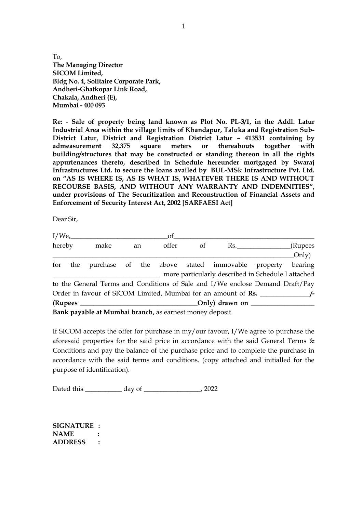To, **The Managing Director SICOM Limited, Bldg No. 4, Solitaire Corporate Park, Andheri-Ghatkopar Link Road, Chakala, Andheri (E), Mumbai - 400 093**

**Re: - Sale of property being land known as Plot No. PL-3/1, in the Addl. Latur Industrial Area within the village limits of Khandapur, Taluka and Registration Sub-District Latur, District and Registration District Latur – 413531 containing by admeasurement 32,375 square meters or thereabouts together with building/structures that may be constructed or standing thereon in all the rights appurtenances thereto, described in Schedule hereunder mortgaged by Swaraj Infrastructures Ltd. to secure the loans availed by BUL-MSk Infrastructure Pvt. Ltd. on "AS IS WHERE IS, AS IS WHAT IS, WHATEVER THERE IS AND WITHOUT RECOURSE BASIS, AND WITHOUT ANY WARRANTY AND INDEMNITIES", under provisions of The Securitization and Reconstruction of Financial Assets and Enforcement of Security Interest Act, 2002 [SARFAESI Act]**

Dear Sir,

|        |  | I/We,                                                    |  |    | οf    |    |                                                                               |     |         |  |
|--------|--|----------------------------------------------------------|--|----|-------|----|-------------------------------------------------------------------------------|-----|---------|--|
| hereby |  | make                                                     |  | an | offer | of |                                                                               | Rs. | (Rupees |  |
|        |  |                                                          |  |    |       |    |                                                                               |     | Only)   |  |
|        |  |                                                          |  |    |       |    | for the purchase of the above stated immovable property                       |     | bearing |  |
|        |  |                                                          |  |    |       |    | more particularly described in Schedule I attached                            |     |         |  |
|        |  |                                                          |  |    |       |    | to the General Terms and Conditions of Sale and I/We enclose Demand Draft/Pay |     |         |  |
|        |  |                                                          |  |    |       |    | Order in favour of SICOM Limited, Mumbai for an amount of Rs.                 |     |         |  |
|        |  |                                                          |  |    |       |    |                                                                               |     |         |  |
|        |  | Bank payable at Mumbai branch, as earnest money deposit. |  |    |       |    |                                                                               |     |         |  |

If SICOM accepts the offer for purchase in my/our favour, I/We agree to purchase the aforesaid properties for the said price in accordance with the said General Terms & Conditions and pay the balance of the purchase price and to complete the purchase in accordance with the said terms and conditions. (copy attached and initialled for the purpose of identification).

Dated this \_\_\_\_\_\_\_\_\_\_\_ day of \_\_\_\_\_\_\_\_\_\_\_\_\_\_\_\_\_\_, 2022

**SIGNATURE : NAME : ADDRESS :**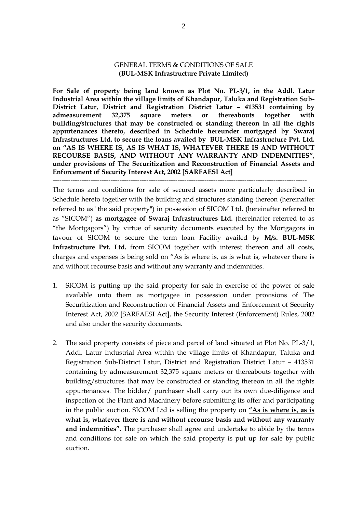## GENERAL TERMS & CONDITIONS OF SALE **(BUL-MSK Infrastructure Private Limited)**

**For Sale of property being land known as Plot No. PL-3/1, in the Addl. Latur Industrial Area within the village limits of Khandapur, Taluka and Registration Sub-District Latur, District and Registration District Latur – 413531 containing by admeasurement 32,375 square meters or thereabouts together with building/structures that may be constructed or standing thereon in all the rights appurtenances thereto, described in Schedule hereunder mortgaged by Swaraj Infrastructures Ltd. to secure the loans availed by BUL-MSK Infrastructure Pvt. Ltd. on "AS IS WHERE IS, AS IS WHAT IS, WHATEVER THERE IS AND WITHOUT RECOURSE BASIS, AND WITHOUT ANY WARRANTY AND INDEMNITIES", under provisions of The Securitization and Reconstruction of Financial Assets and Enforcement of Security Interest Act, 2002 [SARFAESI Act]**

The terms and conditions for sale of secured assets more particularly described in Schedule hereto together with the building and structures standing thereon (hereinafter referred to as "the said property") in possession of SICOM Ltd. (hereinafter referred to as "SICOM") **as mortgagee of Swaraj Infrastructures Ltd.** (hereinafter referred to as "the Mortgagors") by virtue of security documents executed by the Mortgagors in favour of SICOM to secure the term loan Facility availed by **M/s. BUL-MSK Infrastructure Pvt. Ltd.** from SICOM together with interest thereon and all costs, charges and expenses is being sold on "As is where is, as is what is, whatever there is and without recourse basis and without any warranty and indemnities.

------------------------------------------------------------------------------------------------------------------

- 1. SICOM is putting up the said property for sale in exercise of the power of sale available unto them as mortgagee in possession under provisions of The Securitization and Reconstruction of Financial Assets and Enforcement of Security Interest Act, 2002 [SARFAESI Act], the Security Interest (Enforcement) Rules, 2002 and also under the security documents.
- 2. The said property consists of piece and parcel of land situated at Plot No. PL-3/1, Addl. Latur Industrial Area within the village limits of Khandapur, Taluka and Registration Sub-District Latur, District and Registration District Latur – 413531 containing by admeasurement 32,375 square meters or thereabouts together with building/structures that may be constructed or standing thereon in all the rights appurtenances. The bidder/ purchaser shall carry out its own due-diligence and inspection of the Plant and Machinery before submitting its offer and participating in the public auction. SICOM Ltd is selling the property on **"As is where is, as is what is, whatever there is and without recourse basis and without any warranty and indemnities"**. The purchaser shall agree and undertake to abide by the terms and conditions for sale on which the said property is put up for sale by public auction.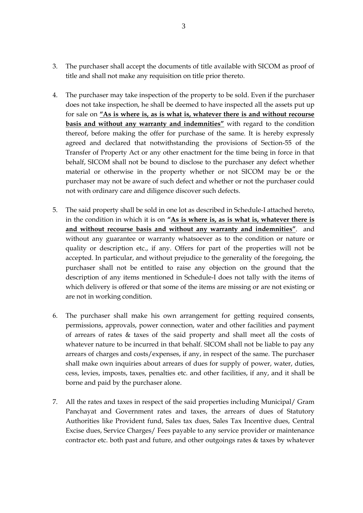- 3. The purchaser shall accept the documents of title available with SICOM as proof of title and shall not make any requisition on title prior thereto.
- 4. The purchaser may take inspection of the property to be sold. Even if the purchaser does not take inspection, he shall be deemed to have inspected all the assets put up for sale on **"As is where is, as is what is, whatever there is and without recourse basis and without any warranty and indemnities"** with regard to the condition thereof, before making the offer for purchase of the same. It is hereby expressly agreed and declared that notwithstanding the provisions of Section-55 of the Transfer of Property Act or any other enactment for the time being in force in that behalf, SICOM shall not be bound to disclose to the purchaser any defect whether material or otherwise in the property whether or not SICOM may be or the purchaser may not be aware of such defect and whether or not the purchaser could not with ordinary care and diligence discover such defects.
- 5. The said property shall be sold in one lot as described in Schedule-I attached hereto, in the condition in which it is on **"As is where is, as is what is, whatever there is and without recourse basis and without any warranty and indemnities"**. and without any guarantee or warranty whatsoever as to the condition or nature or quality or description etc., if any. Offers for part of the properties will not be accepted. In particular, and without prejudice to the generality of the foregoing, the purchaser shall not be entitled to raise any objection on the ground that the description of any items mentioned in Schedule-I does not tally with the items of which delivery is offered or that some of the items are missing or are not existing or are not in working condition.
- 6. The purchaser shall make his own arrangement for getting required consents, permissions, approvals, power connection, water and other facilities and payment of arrears of rates & taxes of the said property and shall meet all the costs of whatever nature to be incurred in that behalf. SICOM shall not be liable to pay any arrears of charges and costs/expenses, if any, in respect of the same. The purchaser shall make own inquiries about arrears of dues for supply of power, water, duties, cess, levies, imposts, taxes, penalties etc. and other facilities, if any, and it shall be borne and paid by the purchaser alone.
- 7. All the rates and taxes in respect of the said properties including Municipal/ Gram Panchayat and Government rates and taxes, the arrears of dues of Statutory Authorities like Provident fund, Sales tax dues, Sales Tax Incentive dues, Central Excise dues, Service Charges/ Fees payable to any service provider or maintenance contractor etc. both past and future, and other outgoings rates & taxes by whatever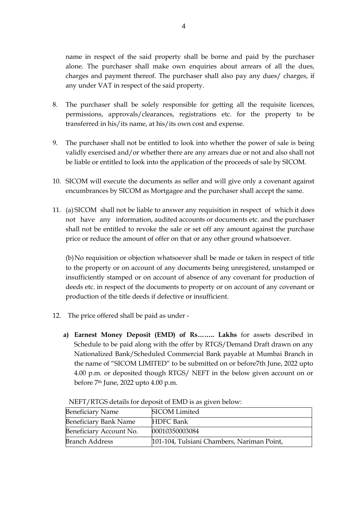name in respect of the said property shall be borne and paid by the purchaser alone. The purchaser shall make own enquiries about arrears of all the dues, charges and payment thereof. The purchaser shall also pay any dues/ charges, if any under VAT in respect of the said property.

- 8. The purchaser shall be solely responsible for getting all the requisite licences, permissions, approvals/clearances, registrations etc. for the property to be transferred in his/its name, at his/its own cost and expense.
- 9. The purchaser shall not be entitled to look into whether the power of sale is being validly exercised and/or whether there are any arrears due or not and also shall not be liable or entitled to look into the application of the proceeds of sale by SICOM.
- 10. SICOM will execute the documents as seller and will give only a covenant against encumbrances by SICOM as Mortgagee and the purchaser shall accept the same.
- 11. (a) SICOM shall not be liable to answer any requisition in respect of which it does not have any information, audited accounts or documents etc. and the purchaser shall not be entitled to revoke the sale or set off any amount against the purchase price or reduce the amount of offer on that or any other ground whatsoever.

 (b)No requisition or objection whatsoever shall be made or taken in respect of title to the property or on account of any documents being unregistered, unstamped or insufficiently stamped or on account of absence of any covenant for production of deeds etc. in respect of the documents to property or on account of any covenant or production of the title deeds if defective or insufficient.

- 12. The price offered shall be paid as under
	- **a) Earnest Money Deposit (EMD) of Rs…….. Lakhs** for assets described in Schedule to be paid along with the offer by RTGS/Demand Draft drawn on any Nationalized Bank/Scheduled Commercial Bank payable at Mumbai Branch in the name of "SICOM LIMITED" to be submitted on or before7th June, 2022 upto 4.00 p.m. or deposited though RTGS/ NEFT in the below given account on or before 7th June, 2022 upto 4.00 p.m.

| <b>Beneficiary Name</b>      | <b>SICOM Limited</b>                       |
|------------------------------|--------------------------------------------|
| <b>Beneficiary Bank Name</b> | <b>HDFC</b> Bank                           |
| Beneficiary Account No.      | 00010350003084                             |
| <b>Branch Address</b>        | 101-104, Tulsiani Chambers, Nariman Point, |

NEFT/RTGS details for deposit of EMD is as given below: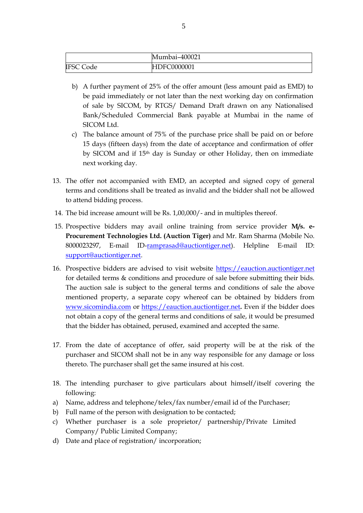|                  | Mumbai-400021 |
|------------------|---------------|
| <b>IFSC Code</b> | HDFC0000001   |

- b) A further payment of 25% of the offer amount (less amount paid as EMD) to be paid immediately or not later than the next working day on confirmation of sale by SICOM, by RTGS/ Demand Draft drawn on any Nationalised Bank/Scheduled Commercial Bank payable at Mumbai in the name of SICOM Ltd.
- c) The balance amount of 75% of the purchase price shall be paid on or before 15 days (fifteen days) from the date of acceptance and confirmation of offer by SICOM and if 15th day is Sunday or other Holiday, then on immediate next working day.
- 13. The offer not accompanied with EMD, an accepted and signed copy of general terms and conditions shall be treated as invalid and the bidder shall not be allowed to attend bidding process.
- 14. The bid increase amount will be Rs. 1,00,000/- and in multiples thereof.
- 15. Prospective bidders may avail online training from service provider **M/s. e-Procurement Technologies Ltd. (Auction Tiger)** and Mr. Ram Sharma (Mobile No. 8000023297, E-mail ID[-ramprasad@auctiontiger.net\)](mailto:ramprasad@auctiontiger.net). Helpline E-mail ID: [support@auctiontiger.net.](mailto:support@auctiontiger.net)
- 16. Prospective bidders are advised to visit website [https://eauction.auctiontiger.net](https://eauction.auctiontiger.net/) for detailed terms & conditions and procedure of sale before submitting their bids. The auction sale is subject to the general terms and conditions of sale the above mentioned property, a separate copy whereof can be obtained by bidders from [www.sicomindia.com](http://www.sicomindia.com/) or [https://eauction.auctiontiger.net](https://eauction.auctiontiger.net/)**.** Even if the bidder does not obtain a copy of the general terms and conditions of sale, it would be presumed that the bidder has obtained, perused, examined and accepted the same.
- 17. From the date of acceptance of offer, said property will be at the risk of the purchaser and SICOM shall not be in any way responsible for any damage or loss thereto. The purchaser shall get the same insured at his cost.
- 18. The intending purchaser to give particulars about himself/itself covering the following:
- a) Name, address and telephone/telex/fax number/email id of the Purchaser;
- b) Full name of the person with designation to be contacted;
- c) Whether purchaser is a sole proprietor/ partnership/Private Limited Company/ Public Limited Company;
- d) Date and place of registration/ incorporation;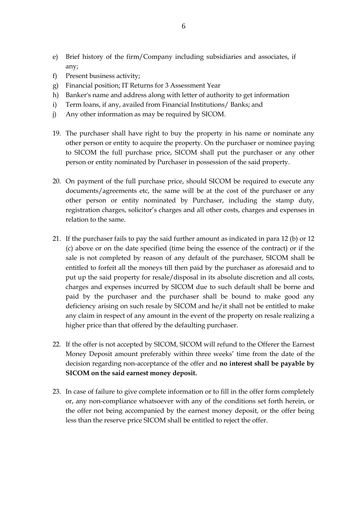- e) Brief history of the firm/Company including subsidiaries and associates, if any;
- f) Present business activity;
- g) Financial position; IT Returns for 3 Assessment Year
- h) Banker's name and address along with letter of authority to get information
- i) Term loans, if any, availed from Financial Institutions/ Banks; and
- j) Any other information as may be required by SICOM.
- 19. The purchaser shall have right to buy the property in his name or nominate any other person or entity to acquire the property. On the purchaser or nominee paying to SICOM the full purchase price, SICOM shall put the purchaser or any other person or entity nominated by Purchaser in possession of the said property.
- 20. On payment of the full purchase price, should SICOM be required to execute any documents/agreements etc, the same will be at the cost of the purchaser or any other person or entity nominated by Purchaser, including the stamp duty, registration charges, solicitor's charges and all other costs, charges and expenses in relation to the same.
- 21. If the purchaser fails to pay the said further amount as indicated in para 12 (b) or 12 (c) above or on the date specified (time being the essence of the contract) or if the sale is not completed by reason of any default of the purchaser, SICOM shall be entitled to forfeit all the moneys till then paid by the purchaser as aforesaid and to put up the said property for resale/disposal in its absolute discretion and all costs, charges and expenses incurred by SICOM due to such default shall be borne and paid by the purchaser and the purchaser shall be bound to make good any deficiency arising on such resale by SICOM and he/it shall not be entitled to make any claim in respect of any amount in the event of the property on resale realizing a higher price than that offered by the defaulting purchaser.
- 22. If the offer is not accepted by SICOM, SICOM will refund to the Offerer the Earnest Money Deposit amount preferably within three weeks' time from the date of the decision regarding non-acceptance of the offer and **no interest shall be payable by SICOM on the said earnest money deposit.**
- 23. In case of failure to give complete information or to fill in the offer form completely or, any non-compliance whatsoever with any of the conditions set forth herein, or the offer not being accompanied by the earnest money deposit, or the offer being less than the reserve price SICOM shall be entitled to reject the offer.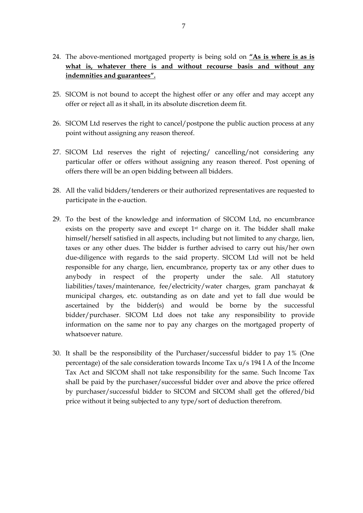- 24. The above-mentioned mortgaged property is being sold on **"As is where is as is what is, whatever there is and without recourse basis and without any indemnities and guarantees".**
- 25. SICOM is not bound to accept the highest offer or any offer and may accept any offer or reject all as it shall, in its absolute discretion deem fit.
- 26. SICOM Ltd reserves the right to cancel/postpone the public auction process at any point without assigning any reason thereof.
- 27. SICOM Ltd reserves the right of rejecting/ cancelling/not considering any particular offer or offers without assigning any reason thereof. Post opening of offers there will be an open bidding between all bidders.
- 28. All the valid bidders/tenderers or their authorized representatives are requested to participate in the e-auction.
- 29. To the best of the knowledge and information of SICOM Ltd, no encumbrance exists on the property save and except 1st charge on it. The bidder shall make himself/herself satisfied in all aspects, including but not limited to any charge, lien, taxes or any other dues. The bidder is further advised to carry out his/her own due-diligence with regards to the said property. SICOM Ltd will not be held responsible for any charge, lien, encumbrance, property tax or any other dues to anybody in respect of the property under the sale. All statutory liabilities/taxes/maintenance, fee/electricity/water charges, gram panchayat & municipal charges, etc. outstanding as on date and yet to fall due would be ascertained by the bidder(s) and would be borne by the successful bidder/purchaser. SICOM Ltd does not take any responsibility to provide information on the same nor to pay any charges on the mortgaged property of whatsoever nature.
- 30. It shall be the responsibility of the Purchaser/successful bidder to pay 1% (One percentage) of the sale consideration towards Income Tax u/s 194 I A of the Income Tax Act and SICOM shall not take responsibility for the same. Such Income Tax shall be paid by the purchaser/successful bidder over and above the price offered by purchaser/successful bidder to SICOM and SICOM shall get the offered/bid price without it being subjected to any type/sort of deduction therefrom.